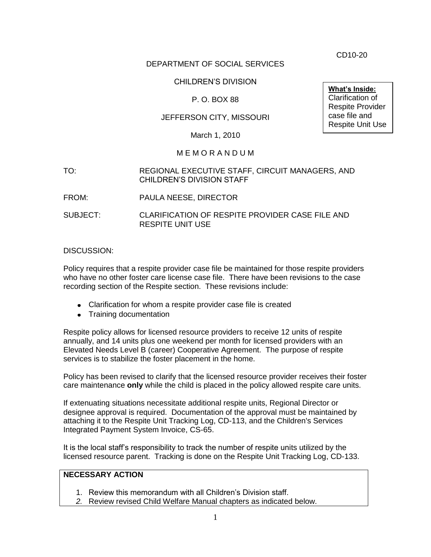CD10-20

## DEPARTMENT OF SOCIAL SERVICES

## CHILDREN'S DIVISION

# P. O. BOX 88

# JEFFERSON CITY, MISSOURI

March 1, 2010

#### M E M O R A N D U M

#### TO: REGIONAL EXECUTIVE STAFF, CIRCUIT MANAGERS, AND CHILDREN'S DIVISION STAFF

- FROM: PAULA NEESE, DIRECTOR
- SUBJECT: CLARIFICATION OF RESPITE PROVIDER CASE FILE AND RESPITE UNIT USE

#### DISCUSSION:

Policy requires that a respite provider case file be maintained for those respite providers who have no other foster care license case file. There have been revisions to the case recording section of the Respite section. These revisions include:

- Clarification for whom a respite provider case file is created
- Training documentation

Respite policy allows for licensed resource providers to receive 12 units of respite annually, and 14 units plus one weekend per month for licensed providers with an Elevated Needs Level B (career) Cooperative Agreement. The purpose of respite services is to stabilize the foster placement in the home.

Policy has been revised to clarify that the licensed resource provider receives their foster care maintenance **only** while the child is placed in the policy allowed respite care units.

If extenuating situations necessitate additional respite units, Regional Director or designee approval is required. Documentation of the approval must be maintained by attaching it to the Respite Unit Tracking Log, CD-113, and the Children's Services Integrated Payment System Invoice, CS-65.

It is the local staff's responsibility to track the number of respite units utilized by the licensed resource parent. Tracking is done on the Respite Unit Tracking Log, CD-133.

#### **NECESSARY ACTION**

- 1. Review this memorandum with all Children's Division staff.
- *2.* Review revised Child Welfare Manual chapters as indicated below.

**What's Inside:** Clarification of Respite Provider case file and Respite Unit Use